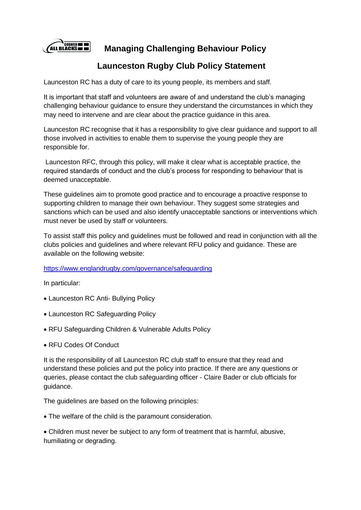

 **Managing Challenging Behaviour Policy**

# **Launceston Rugby Club Policy Statement**

Launceston RC has a duty of care to its young people, its members and staff.

It is important that staff and volunteers are aware of and understand the club's managing challenging behaviour guidance to ensure they understand the circumstances in which they may need to intervene and are clear about the practice guidance in this area.

Launceston RC recognise that it has a responsibility to give clear guidance and support to all those involved in activities to enable them to supervise the young people they are responsible for.

Launceston RFC, through this policy, will make it clear what is acceptable practice, the required standards of conduct and the club's process for responding to behaviour that is deemed unacceptable.

These guidelines aim to promote good practice and to encourage a proactive response to supporting children to manage their own behaviour. They suggest some strategies and sanctions which can be used and also identify unacceptable sanctions or interventions which must never be used by staff or volunteers.

To assist staff this policy and guidelines must be followed and read in conjunction with all the clubs policies and guidelines and where relevant RFU policy and guidance. These are available on the following website:

<https://www.englandrugby.com/governance/safeguarding>

In particular:

- Launceston RC Anti- Bullying Policy
- Launceston RC Safeguarding Policy
- RFU Safeguarding Children & Vulnerable Adults Policy
- RFU Codes Of Conduct

It is the responsibility of all Launceston RC club staff to ensure that they read and understand these policies and put the policy into practice. If there are any questions or queries, please contact the club safeguarding officer - Claire Bader or club officials for guidance.

The guidelines are based on the following principles:

• The welfare of the child is the paramount consideration.

• Children must never be subject to any form of treatment that is harmful, abusive, humiliating or degrading.